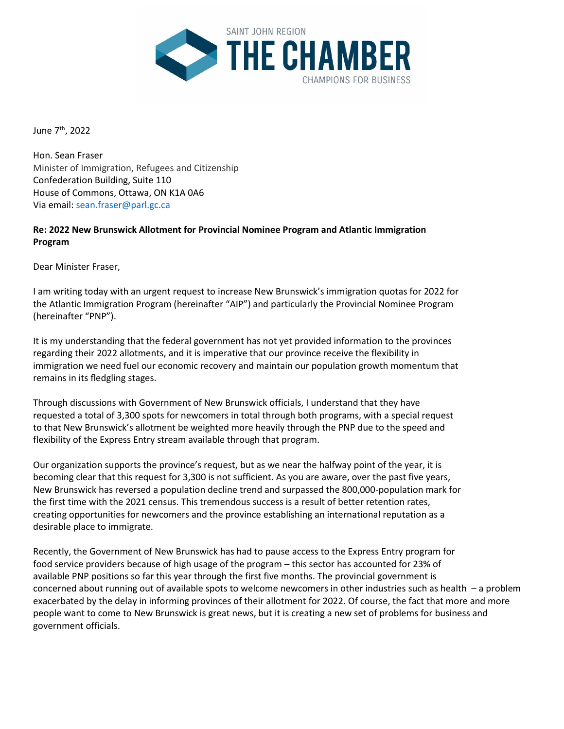

June 7th, 2022

Hon. Sean Fraser Minister of Immigration, Refugees and Citizenship Confederation Building, Suite 110 House of Commons, Ottawa, ON K1A 0A6 Via email: sean.fraser@parl.gc.ca

## **Re: 2022 New Brunswick Allotment for Provincial Nominee Program and Atlantic Immigration Program**

Dear Minister Fraser,

I am writing today with an urgent request to increase New Brunswick's immigration quotas for 2022 for the Atlantic Immigration Program (hereinafter "AIP") and particularly the Provincial Nominee Program (hereinafter "PNP").

It is my understanding that the federal government has not yet provided information to the provinces regarding their 2022 allotments, and it is imperative that our province receive the flexibility in immigration we need fuel our economic recovery and maintain our population growth momentum that remains in its fledgling stages.

Through discussions with Government of New Brunswick officials, I understand that they have requested a total of 3,300 spots for newcomers in total through both programs, with a special request to that New Brunswick's allotment be weighted more heavily through the PNP due to the speed and flexibility of the Express Entry stream available through that program.

Our organization supports the province's request, but as we near the halfway point of the year, it is becoming clear that this request for 3,300 is not sufficient. As you are aware, over the past five years, New Brunswick has reversed a population decline trend and surpassed the 800,000-population mark for the first time with the 2021 census. This tremendous success is a result of better retention rates, creating opportunities for newcomers and the province establishing an international reputation as a desirable place to immigrate.

Recently, the Government of New Brunswick has had to pause access to the Express Entry program for food service providers because of high usage of the program – this sector has accounted for 23% of available PNP positions so far this year through the first five months. The provincial government is concerned about running out of available spots to welcome newcomers in other industries such as health – a problem exacerbated by the delay in informing provinces of their allotment for 2022. Of course, the fact that more and more people want to come to New Brunswick is great news, but it is creating a new set of problems for business and government officials.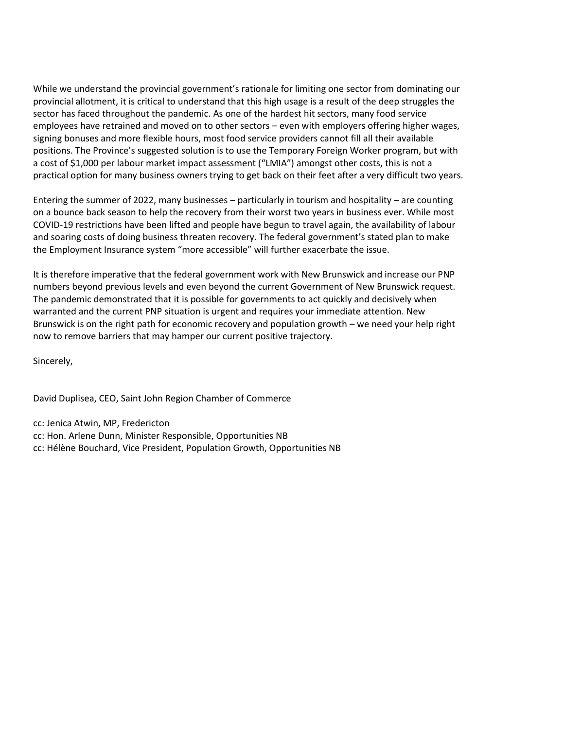While we understand the provincial government's rationale for limiting one sector from dominating our provincial allotment, it is critical to understand that this high usage is a result of the deep struggles the sector has faced throughout the pandemic. As one of the hardest hit sectors, many food service employees have retrained and moved on to other sectors – even with employers offering higher wages, signing bonuses and more flexible hours, most food service providers cannot fill all their available positions. The Province's suggested solution is to use the Temporary Foreign Worker program, but with a cost of \$1,000 per labour market impact assessment ("LMIA") amongst other costs, this is not a practical option for many business owners trying to get back on their feet after a very difficult two years.

Entering the summer of 2022, many businesses – particularly in tourism and hospitality – are counting on a bounce back season to help the recovery from their worst two years in business ever. While most COVID-19 restrictions have been lifted and people have begun to travel again, the availability of labour and soaring costs of doing business threaten recovery. The federal government's stated plan to make the Employment Insurance system "more accessible" will further exacerbate the issue.

It is therefore imperative that the federal government work with New Brunswick and increase our PNP numbers beyond previous levels and even beyond the current Government of New Brunswick request. The pandemic demonstrated that it is possible for governments to act quickly and decisively when warranted and the current PNP situation is urgent and requires your immediate attention. New Brunswick is on the right path for economic recovery and population growth – we need your help right now to remove barriers that may hamper our current positive trajectory.

Sincerely,

David Duplisea, CEO, Saint John Region Chamber of Commerce

cc: Jenica Atwin, MP, Fredericton cc: Hon. Arlene Dunn, Minister Responsible, Opportunities NB cc: Hélène Bouchard, Vice President, Population Growth, Opportunities NB